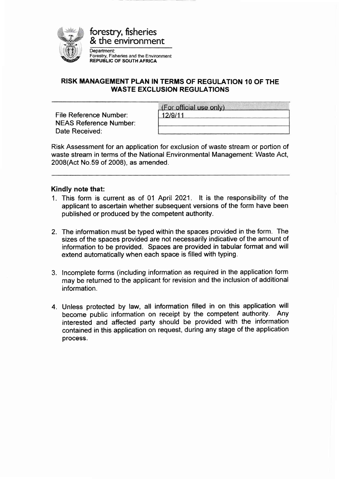

## RISK MANAGEMENT PLAN IN TERMS OF REGULATION 10 OF THE WASTE EXCLUSION REGULATIONS

File Reference Number: NEAS Reference Number: Date Received:

| (For official use only) |  |
|-------------------------|--|
| 12/9/11                 |  |
|                         |  |
|                         |  |

Risk Assessment for an application for exclusion of waste stream or portion of waste stream in terms of the National Environmental Management: Waste Act, 2008(Act No.59 of 2008), as amended.

## Kindly note that:

- 1. This form is current as of 01 April 2021. lt is the responsibility of the applicant to ascertain whether subsequent versions of the form have been published or produced by the competent authority.
- 2. The information must be typed within the spaces provided in the form. The sizes of the spaces provided are not necessarily indicative of the amount of information to be provided. Spaces are provided in tabular format and will extend automatically when each space is filled with typing.
- 3. lncomplete forms (including information as required in the application form may be returned to the applicant for revision and the inclusion of additional information.
- 4. Unless protected by law, all information filled in on this application will become public information on receipt by the competent authority. Any interested and affected party should be provided with the information contained in this application on request, during any stage of the application process.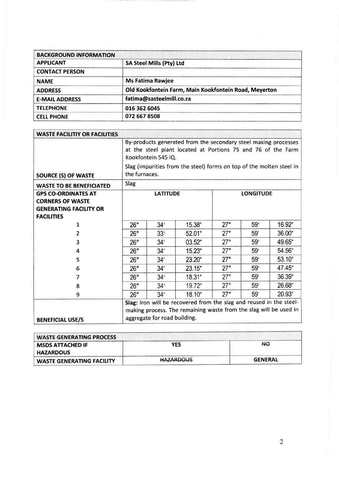| <b>BACKGROUND INFORMATION</b> |                                                       |
|-------------------------------|-------------------------------------------------------|
| <b>APPLICANT</b>              | SA Steel Mills (Pty) Ltd                              |
| <b>CONTACT PERSON</b>         |                                                       |
| <b>NAME</b>                   | <b>Ms Fatima Rawjee</b>                               |
| <b>ADDRESS</b>                | Old Kookfontein Farm, Main Kookfontein Road, Meyerton |
| <b>E-MAIL ADDRESS</b>         | fatima@sasteelmill.co.za                              |
| <b>TELEPHONE</b>              | 016 362 6045                                          |
| <b>CELL PHONE</b>             | 072 667 8508                                          |

| <b>WASTE FACILITIY OR FACILITIES</b> |                                                                                                                                                        |                 |                                                                      |            |                  |             |
|--------------------------------------|--------------------------------------------------------------------------------------------------------------------------------------------------------|-----------------|----------------------------------------------------------------------|------------|------------------|-------------|
|                                      | By-products generated from the secondary steel making processes<br>at the steel plant located at Portions 75 and 76 of the Farm<br>Kookfontein 545 IQ. |                 |                                                                      |            |                  |             |
|                                      |                                                                                                                                                        |                 | Slag (impurities from the steel) forms on top of the molten steel in |            |                  |             |
| <b>SOURCE (S) OF WASTE</b>           | the furnaces.                                                                                                                                          |                 |                                                                      |            |                  |             |
| <b>WASTE TO BE BENEFICIATED</b>      | Slag                                                                                                                                                   |                 |                                                                      |            |                  |             |
| <b>GPS CO-ORDINATES AT</b>           |                                                                                                                                                        | <b>LATITUDE</b> |                                                                      |            | <b>LONGITUDE</b> |             |
| <b>CORNERS OF WASTE</b>              |                                                                                                                                                        |                 |                                                                      |            |                  |             |
| <b>GENERATING FACILITY OR</b>        |                                                                                                                                                        |                 |                                                                      |            |                  |             |
| <b>FACILITIES</b>                    |                                                                                                                                                        |                 |                                                                      | 27°        | 59 <sup>°</sup>  | 16.92"      |
| 1                                    | 26°                                                                                                                                                    | 34 <sup>°</sup> | 15.38"                                                               |            |                  |             |
| 2                                    | $26^{\circ}$                                                                                                                                           | 33 <sup>°</sup> | 52.01"                                                               | $27^\circ$ | 59'              | $36.00$ "   |
| 3                                    | $26^\circ$                                                                                                                                             | 34 <sup>′</sup> | 03.52"                                                               | 27°        | 59 <sup>°</sup>  | 49.65"      |
| 4                                    | 26°                                                                                                                                                    | 34'             | 15.23"                                                               | 27°        | 59               | 54.56"      |
| 5                                    | 26°                                                                                                                                                    | 34'             | $23.20$ "                                                            | $27^\circ$ | 59 <sup>′</sup>  | $53.10^{4}$ |
| 6                                    | 26°                                                                                                                                                    | 34 <sup>′</sup> | 23.15"                                                               | $27^\circ$ | 59'              | 47.45"      |
| 7                                    | $26^\circ$                                                                                                                                             | $34^{\circ}$    | 18.31"                                                               | $27^\circ$ | 59 <sup>′</sup>  | 36.39"      |
| 8                                    | 26°                                                                                                                                                    | 34 <sup>°</sup> | 19.72"                                                               | $27^\circ$ | 59 <sup>th</sup> | 26.68"      |
| 9                                    | $26^\circ$                                                                                                                                             | 34'             | 18.10"                                                               | $27^\circ$ | 59 <sup>′</sup>  | 20.93"      |
|                                      | Slag: Iron will be recovered from the slag and reused in the steel-                                                                                    |                 |                                                                      |            |                  |             |
|                                      | making process. The remaining waste from the slag will be used in                                                                                      |                 |                                                                      |            |                  |             |
| <b>BENEFICIAL USE/S</b>              | aggregate for road building.                                                                                                                           |                 |                                                                      |            |                  |             |

| <b>WASTE GENERATING PROCESS</b> |                  |                |
|---------------------------------|------------------|----------------|
| <b>MSDS ATTACHED IF</b>         | <b>YES</b>       | <b>NO</b>      |
| <b>HAZARDOUS</b>                |                  |                |
| WASTE GENERATING FACILITY       | <b>HAZARDOUS</b> | <b>GENERAL</b> |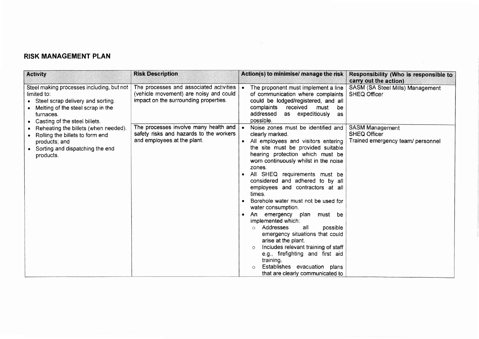## RISK MANAGEMENT PLAN

| <b>Activity</b>                                                                                                                                                                      | <b>Risk Description</b>                                                                                                    | Action(s) to minimise/ manage the risk                                                                                                                                                                                                                                                                                                                                                                                                                                                                                                                                                                                                                                                                                                          | Responsibility (Who is responsible to<br>carry out the action)                     |
|--------------------------------------------------------------------------------------------------------------------------------------------------------------------------------------|----------------------------------------------------------------------------------------------------------------------------|-------------------------------------------------------------------------------------------------------------------------------------------------------------------------------------------------------------------------------------------------------------------------------------------------------------------------------------------------------------------------------------------------------------------------------------------------------------------------------------------------------------------------------------------------------------------------------------------------------------------------------------------------------------------------------------------------------------------------------------------------|------------------------------------------------------------------------------------|
| Steel making processes including, but not<br>limited to:<br>• Steel scrap delivery and sorting.<br>Melting of the steel scrap in the<br>furnaces.<br>• Casting of the steel billets. | The processes and associated activities<br>(vehicle movement) are noisy and could<br>impact on the surrounding properties. | The proponent must implement a line<br>of communication where complaints<br>could be lodged/registered, and all<br>complaints<br>received<br>must<br>be<br>addressed<br>as expeditiously<br><b>as</b><br>possible.                                                                                                                                                                                                                                                                                                                                                                                                                                                                                                                              | SASM (SA Steel Mills) Management<br><b>SHEQ Officer</b>                            |
| Reheating the billets (when needed).<br>Rolling the billets to form end<br>products; and<br>• Sorting and dispatching the end<br>products.                                           | The processes involve many health and<br>safety risks and hazards to the workers<br>and employees at the plant.            | Noise zones must be identified and<br>clearly marked.<br>All employees and visitors entering<br>the site must be provided suitable<br>hearing protection which must be<br>worn continuously whilst in the noise<br>zones.<br>All SHEQ requirements must be<br>considered and adhered to by all<br>employees and contractors at all<br>times.<br>Borehole water must not be used for<br>water consumption.<br>An<br>emergency plan<br>must be<br>implemented which:<br>Addresses<br>all<br>possible<br>$\Omega$<br>emergency situations that could<br>arise at the plant.<br>Includes relevant training of staff<br>$\circ$<br>e.g., firefighting and first aid<br>training.<br>Establishes evacuation plans<br>that are clearly communicated to | <b>SASM Management</b><br><b>SHEQ Officer</b><br>Trained emergency team/ personnel |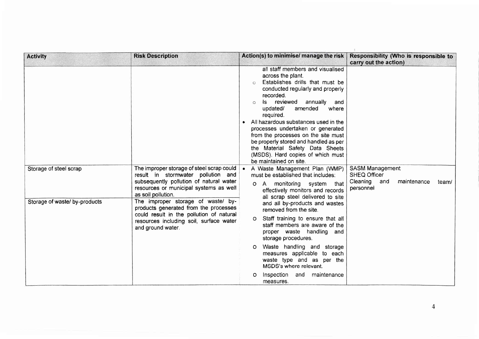| <b>Activity</b>                                                                                          | <b>Risk Description</b>                                                                                                                                                                | Action(s) to minimise/ manage the risk                                                                                                                                                                                                                                                                                                                                                                                                                                                               | Responsibility (Who is responsible to<br>carry out the action) |
|----------------------------------------------------------------------------------------------------------|----------------------------------------------------------------------------------------------------------------------------------------------------------------------------------------|------------------------------------------------------------------------------------------------------------------------------------------------------------------------------------------------------------------------------------------------------------------------------------------------------------------------------------------------------------------------------------------------------------------------------------------------------------------------------------------------------|----------------------------------------------------------------|
|                                                                                                          |                                                                                                                                                                                        | all staff members and visualised<br>across the plant.<br>Establishes drills that must be<br>$\bigcap$<br>conducted regularly and properly<br>recorded.<br>Is reviewed<br>annually<br>and<br>updated/<br>amended<br>where<br>required.<br>All hazardous substances used in the<br>processes undertaken or generated<br>from the processes on the site must<br>be properly stored and handled as per<br>the Material Safety Data Sheets<br>(MSDS). Hard copies of which must<br>be maintained on site. |                                                                |
| Storage of steel scrap                                                                                   | The improper storage of steel scrap could<br>result in stormwater pollution and                                                                                                        | • A Waste Management Plan (WMP)<br>must be established that includes:                                                                                                                                                                                                                                                                                                                                                                                                                                | <b>SASM Management</b><br><b>SHEQ Officer</b>                  |
| Storage of waste/ by-products                                                                            | subsequently pollution of natural water<br>resources or municipal systems as well<br>as soil pollution.<br>The improper storage of waste/ by-<br>products generated from the processes | A monitoring system that<br>O.<br>effectively monitors and records<br>all scrap steel delivered to site<br>and all by-products and wastes<br>removed from the site.                                                                                                                                                                                                                                                                                                                                  | Cleaning and<br>maintenance<br>team/<br>personnel              |
| could result in the pollution of natural<br>resources including soil, surface water<br>and ground water. | Staff training to ensure that all<br>O.<br>staff members are aware of the<br>proper waste handling and<br>storage procedures.                                                          |                                                                                                                                                                                                                                                                                                                                                                                                                                                                                                      |                                                                |
|                                                                                                          |                                                                                                                                                                                        | Waste handling and storage<br>O<br>measures applicable to each<br>waste type and as per the<br>MSDS's where relevant.                                                                                                                                                                                                                                                                                                                                                                                |                                                                |
|                                                                                                          |                                                                                                                                                                                        | Inspection and maintenance<br>O<br>measures.                                                                                                                                                                                                                                                                                                                                                                                                                                                         |                                                                |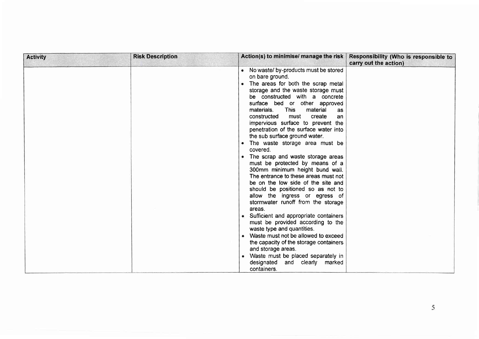| <b>Activity</b> | <b>Risk Description</b> | Action(s) to minimise/ manage the risk                                                                                                                                                                                                                                                                                                                                                                                                                                                                                                                                                                                                                                                                                                                                                                                                                                                                                                                                                                                                    | Responsibility (Who is responsible to<br>carry out the action) |
|-----------------|-------------------------|-------------------------------------------------------------------------------------------------------------------------------------------------------------------------------------------------------------------------------------------------------------------------------------------------------------------------------------------------------------------------------------------------------------------------------------------------------------------------------------------------------------------------------------------------------------------------------------------------------------------------------------------------------------------------------------------------------------------------------------------------------------------------------------------------------------------------------------------------------------------------------------------------------------------------------------------------------------------------------------------------------------------------------------------|----------------------------------------------------------------|
|                 |                         | • No waste/ by-products must be stored<br>on bare ground.<br>• The areas for both the scrap metal<br>storage and the waste storage must<br>be constructed with a concrete<br>surface bed or other approved<br>This<br>material<br>materials.<br>as<br>constructed<br>must<br>create<br>an<br>impervious surface to prevent the<br>penetration of the surface water into<br>the sub surface ground water.<br>• The waste storage area must be<br>covered.<br>• The scrap and waste storage areas<br>must be protected by means of a<br>300mm minimum height bund wall.<br>The entrance to these areas must not<br>be on the low side of the site and<br>should be positioned so as not to<br>allow the ingress or egress of<br>stormwater runoff from the storage<br>areas.<br>• Sufficient and appropriate containers<br>must be provided according to the<br>waste type and quantities.<br>• Waste must not be allowed to exceed<br>the capacity of the storage containers<br>and storage areas.<br>• Waste must be placed separately in |                                                                |
|                 |                         | designated<br>and clearly marked<br>containers.                                                                                                                                                                                                                                                                                                                                                                                                                                                                                                                                                                                                                                                                                                                                                                                                                                                                                                                                                                                           |                                                                |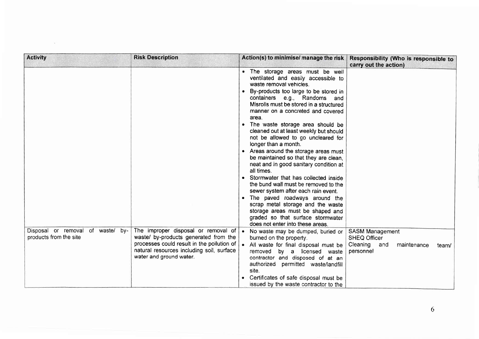| <b>Activity</b>                                                | <b>Risk Description</b>                                                                                                                                                                            | Action(s) to minimise/ manage the risk                                                                                                                                                                                                                                                                                                                                                                                                                                                                                                                                                                                                                                                                                                                                                                                                                                     | Responsibility (Who is responsible to<br>carry out the action)                                     |
|----------------------------------------------------------------|----------------------------------------------------------------------------------------------------------------------------------------------------------------------------------------------------|----------------------------------------------------------------------------------------------------------------------------------------------------------------------------------------------------------------------------------------------------------------------------------------------------------------------------------------------------------------------------------------------------------------------------------------------------------------------------------------------------------------------------------------------------------------------------------------------------------------------------------------------------------------------------------------------------------------------------------------------------------------------------------------------------------------------------------------------------------------------------|----------------------------------------------------------------------------------------------------|
|                                                                |                                                                                                                                                                                                    | . The storage areas must be well<br>ventilated and easily accessible to<br>waste removal vehicles.<br>By-products too large to be stored in<br>containers e.g., Randoms and<br>Misrolls must be stored in a structured<br>manner on a concreted and covered<br>area.<br>• The waste storage area should be<br>cleaned out at least weekly but should<br>not be allowed to go uncleared for<br>longer than a month.<br>• Areas around the storage areas must<br>be maintained so that they are clean,<br>neat and in good sanitary condition at<br>all times.<br>• Stormwater that has collected inside<br>the bund wall must be removed to the<br>sewer system after each rain event.<br>• The paved roadways around the<br>scrap metal storage and the waste<br>storage areas must be shaped and<br>graded so that surface stormwater<br>does not enter into these areas. |                                                                                                    |
| Disposal or removal of waste/<br>by-<br>products from the site | The improper disposal or removal of<br>waste/ by-products generated from the<br>processes could result in the pollution of<br>natural resources including soil, surface<br>water and ground water. | • No waste may be dumped, buried or<br>burned on the property.<br>. All waste for final disposal must be<br>removed<br>by a licensed waste<br>contractor and disposed of at an<br>authorized permitted waste/landfill<br>site.                                                                                                                                                                                                                                                                                                                                                                                                                                                                                                                                                                                                                                             | <b>SASM Management</b><br><b>SHEQ Officer</b><br>Cleaning and<br>maintenance<br>team/<br>personnel |
|                                                                |                                                                                                                                                                                                    | Certificates of safe disposal must be<br>issued by the waste contractor to the                                                                                                                                                                                                                                                                                                                                                                                                                                                                                                                                                                                                                                                                                                                                                                                             |                                                                                                    |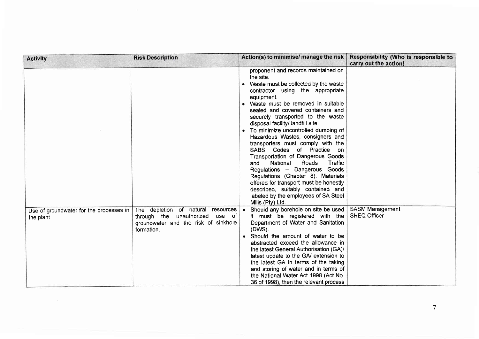| <b>Activity</b>                                      | <b>Risk Description</b>                                                                                                           | Action(s) to minimise/ manage the risk                                                                                                                                                                                                                                                                                                                                                                                                                                                                                                                                                                                                                                                                                                          | Responsibility (Who is responsible to<br>carry out the action) |
|------------------------------------------------------|-----------------------------------------------------------------------------------------------------------------------------------|-------------------------------------------------------------------------------------------------------------------------------------------------------------------------------------------------------------------------------------------------------------------------------------------------------------------------------------------------------------------------------------------------------------------------------------------------------------------------------------------------------------------------------------------------------------------------------------------------------------------------------------------------------------------------------------------------------------------------------------------------|----------------------------------------------------------------|
|                                                      |                                                                                                                                   | proponent and records maintained on<br>the site.<br>• Waste must be collected by the waste<br>contractor using the appropriate<br>equipment.<br>• Waste must be removed in suitable<br>sealed and covered containers and<br>securely transported to the waste<br>disposal facility/ landfill site.<br>• To minimize uncontrolled dumping of<br>Hazardous Wastes, consignors and<br>transporters must comply with the<br>SABS Codes of Practice on<br>Transportation of Dangerous Goods<br>National<br>Roads<br>Traffic<br>and<br>Regulations - Dangerous Goods<br>Regulations (Chapter 8). Materials<br>offered for transport must be honestly<br>described, suitably contained and<br>labeled by the employees of SA Steel<br>Mills (Pty) Ltd. |                                                                |
| Use of groundwater for the processes in<br>the plant | The depletion of natural<br>resources<br>through the unauthorized<br>use of<br>groundwater and the risk of sinkhole<br>formation. | • Should any borehole on site be used<br>it must be registered with the<br>Department of Water and Sanitation<br>(DWS).                                                                                                                                                                                                                                                                                                                                                                                                                                                                                                                                                                                                                         | <b>SASM Management</b><br><b>SHEQ Officer</b>                  |
|                                                      |                                                                                                                                   | • Should the amount of water to be<br>abstracted exceed the allowance in<br>the latest General Authorisation (GA)/<br>latest update to the GA/ extension to<br>the latest GA in terms of the taking<br>and storing of water and in terms of<br>the National Water Act 1998 (Act No.<br>36 of 1998), then the relevant process                                                                                                                                                                                                                                                                                                                                                                                                                   |                                                                |

 $\sim$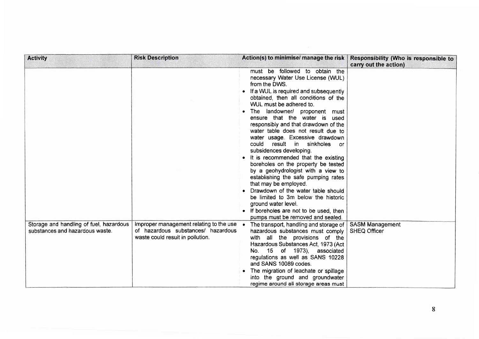| <b>Activity</b>                                                            | <b>Risk Description</b>                                                                                           | Action(s) to minimise/ manage the risk                                                                                                                                                                                                                                                                                                                                                                                                                                                                                                                                                                                                                                                                                                                                                                                             | Responsibility (Who is responsible to<br>carry out the action) |
|----------------------------------------------------------------------------|-------------------------------------------------------------------------------------------------------------------|------------------------------------------------------------------------------------------------------------------------------------------------------------------------------------------------------------------------------------------------------------------------------------------------------------------------------------------------------------------------------------------------------------------------------------------------------------------------------------------------------------------------------------------------------------------------------------------------------------------------------------------------------------------------------------------------------------------------------------------------------------------------------------------------------------------------------------|----------------------------------------------------------------|
|                                                                            |                                                                                                                   | must be followed to obtain the<br>necessary Water Use License (WUL)<br>from the DWS.<br>• If a WUL is required and subsequently<br>obtained, then all conditions of the<br>WUL must be adhered to.<br>The landowner/ proponent must<br>ensure that the water is used<br>responsibly and that drawdown of the<br>water table does not result due to<br>water usage. Excessive drawdown<br>result in sinkholes<br>could<br>or o<br>subsidences developing.<br>• It is recommended that the existing<br>boreholes on the property be tested<br>by a geohydrologist with a view to<br>establishing the safe pumping rates<br>that may be employed.<br>Drawdown of the water table should<br>be limited to 3m below the historic<br>ground water level.<br>• If boreholes are not to be used, then<br>pumps must be removed and sealed. |                                                                |
| Storage and handling of fuel, hazardous<br>substances and hazardous waste. | Improper management relating to the use<br>of hazardous substances/ hazardous<br>waste could result in pollution. | • The transport, handling and storage of<br>hazardous substances must comply<br>with all the provisions of the<br>Hazardous Substances Act, 1973 (Act<br>15 of 1973), associated<br>No.<br>regulations as well as SANS 10228<br>and SANS 10089 codes.<br>The migration of leachate or spillage<br>into the ground and groundwater<br>regime around all storage areas must                                                                                                                                                                                                                                                                                                                                                                                                                                                          | <b>SASM Management</b><br><b>SHEQ Officer</b>                  |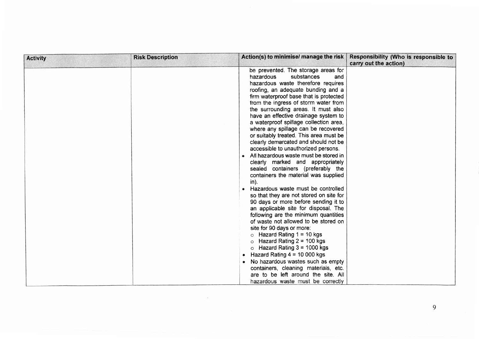| <b>Activity</b> | <b>Risk Description</b> | Action(s) to minimise/ manage the risk                                                                                                                                                                                                                                                                                                                                                                                                                                                                                                                                                                                                                                                                                                                                                                                                                                                                                                                                                                                                                                                                                                                                                                                                                                                             | Responsibility (Who is responsible to<br>carry out the action) |
|-----------------|-------------------------|----------------------------------------------------------------------------------------------------------------------------------------------------------------------------------------------------------------------------------------------------------------------------------------------------------------------------------------------------------------------------------------------------------------------------------------------------------------------------------------------------------------------------------------------------------------------------------------------------------------------------------------------------------------------------------------------------------------------------------------------------------------------------------------------------------------------------------------------------------------------------------------------------------------------------------------------------------------------------------------------------------------------------------------------------------------------------------------------------------------------------------------------------------------------------------------------------------------------------------------------------------------------------------------------------|----------------------------------------------------------------|
|                 |                         | be prevented. The storage areas for<br>substances<br>hazardous<br>and<br>hazardous waste therefore requires<br>roofing, an adequate bunding and a<br>firm waterproof base that is protected<br>from the ingress of storm water from<br>the surrounding areas. It must also<br>have an effective drainage system to<br>a waterproof spillage collection area,<br>where any spillage can be recovered<br>or suitably treated. This area must be<br>clearly demarcated and should not be<br>accessible to unauthorized persons.<br>All hazardous waste must be stored in<br>clearly marked and appropriately<br>sealed containers (preferably the<br>containers the material was supplied<br>$in$ ).<br>Hazardous waste must be controlled<br>so that they are not stored on site for<br>90 days or more before sending it to<br>an applicable site for disposal. The<br>following are the minimum quantities<br>of waste not allowed to be stored on<br>site for 90 days or more:<br>Hazard Rating $1 = 10$ kgs<br>$\circ$<br>Hazard Rating $2 = 100$ kgs<br>$\circ$<br>$\circ$ Hazard Rating 3 = 1000 kgs<br>Hazard Rating $4 = 10000$ kgs<br>No hazardous wastes such as empty<br>containers, cleaning materials, etc.<br>are to be left around the site. All<br>hazardous waste must be correctly |                                                                |

 $\alpha$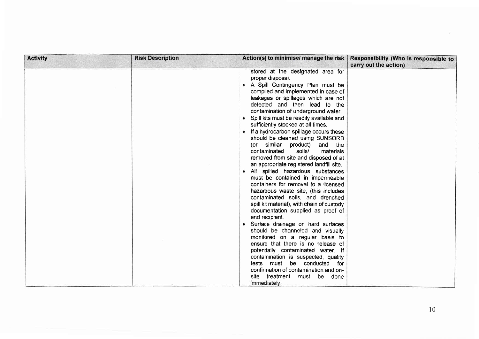| <b>Activity</b> | <b>Risk Description</b> | Action(s) to minimise/ manage the risk                                                                                                                                                                                                                                                                                                                                                                                                                                                                                                                                                                                                                                                                                                                                                                                                                                                                                                                                                                                                                                                                                                                                                                                                     | Responsibility (Who is responsible to<br>carry out the action) |
|-----------------|-------------------------|--------------------------------------------------------------------------------------------------------------------------------------------------------------------------------------------------------------------------------------------------------------------------------------------------------------------------------------------------------------------------------------------------------------------------------------------------------------------------------------------------------------------------------------------------------------------------------------------------------------------------------------------------------------------------------------------------------------------------------------------------------------------------------------------------------------------------------------------------------------------------------------------------------------------------------------------------------------------------------------------------------------------------------------------------------------------------------------------------------------------------------------------------------------------------------------------------------------------------------------------|----------------------------------------------------------------|
|                 |                         | stored at the designated area for<br>proper disposal.<br>A Spill Contingency Plan must be<br>compiled and implemented in case of<br>leakages or spillages which are not<br>detected and then lead to the<br>contamination of underground water.<br>Spill kits must be readily available and<br>sufficiently stocked at all times.<br>If a hydrocarbon spillage occurs these<br>should be cleaned using SUNSORB<br>(or similar<br>product)<br>and the<br>soils/<br>contaminated<br>materials<br>removed from site and disposed of at<br>an appropriate registered landfill site.<br>All spilled hazardous substances<br>must be contained in impermeable<br>containers for removal to a licensed<br>hazardous waste site, (this includes<br>contaminated soils, and drenched<br>spill kit material), with chain of custody<br>documentation supplied as proof of<br>end recipient.<br>Surface drainage on hard surfaces<br>should be channeled and visually<br>monitored on a regular basis to<br>ensure that there is no release of<br>potentially contaminated water. If<br>contamination is suspected, quality<br>tests must be conducted for<br>confirmation of contamination and on-<br>site<br>treatment must be done<br>immediately. |                                                                |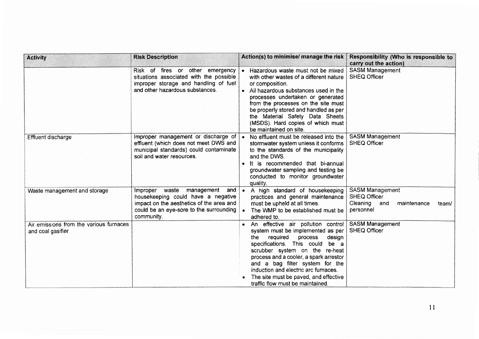| <b>Activity</b>                                              | <b>Risk Description</b>                                                                                                                                                            | Action(s) to minimise/ manage the risk                                                                                                                                                                                                                                                                                                                                                   | Responsibility (Who is responsible to<br>carry out the action)                                     |
|--------------------------------------------------------------|------------------------------------------------------------------------------------------------------------------------------------------------------------------------------------|------------------------------------------------------------------------------------------------------------------------------------------------------------------------------------------------------------------------------------------------------------------------------------------------------------------------------------------------------------------------------------------|----------------------------------------------------------------------------------------------------|
|                                                              | Risk of fires or other emergency<br>situations associated with the possible<br>improper storage and handling of fuel<br>and other hazardous substances.                            | • Hazardous waste must not be mixed<br>with other wastes of a different nature<br>or composition.<br>• All hazardous substances used in the<br>processes undertaken or generated<br>from the processes on the site must<br>be properly stored and handled as per<br>the Material Safety Data Sheets<br>(MSDS). Hard copies of which must<br>be maintained on site.                       | <b>SASM Management</b><br><b>SHEQ Officer</b>                                                      |
| <b>Effluent discharge</b>                                    | Improper management or discharge of<br>effluent (which does not meet DWS and<br>municipal standards) could contaminate<br>soil and water resources.                                | No effluent must be released into the<br>$\bullet$<br>stormwater system unless it conforms<br>to the standards of the municipality<br>and the DWS.<br>• It is recommended that bi-annual<br>groundwater sampling and testing be<br>conducted to monitor groundwater<br>quality.                                                                                                          | <b>SASM Management</b><br><b>SHEQ Officer</b>                                                      |
| Waste management and storage                                 | Improper waste<br>management<br>and $ $<br>housekeeping could have a negative<br>impact on the aesthetics of the area and<br>could be an eye-sore to the surrounding<br>community. | A high standard of housekeeping<br>$\bullet$<br>practices and general maintenance<br>must be upheld at all times.<br>The WMP to be established must be<br>adhered to.                                                                                                                                                                                                                    | <b>SASM Management</b><br><b>SHEQ Officer</b><br>Cleaning and<br>maintenance<br>team/<br>personnel |
| Air emissions from the various furnaces<br>and coal gasifier |                                                                                                                                                                                    | • An effective air pollution control<br>system must be implemented as per<br>required<br>the<br>process<br>design<br>specifications. This could be a<br>scrubber system on the re-heat<br>process and a cooler, a spark arrestor<br>and a bag filter system for the<br>induction and electric arc furnaces.<br>The site must be paved, and effective<br>traffic flow must be maintained. | <b>SASM Management</b><br><b>SHEQ Officer</b>                                                      |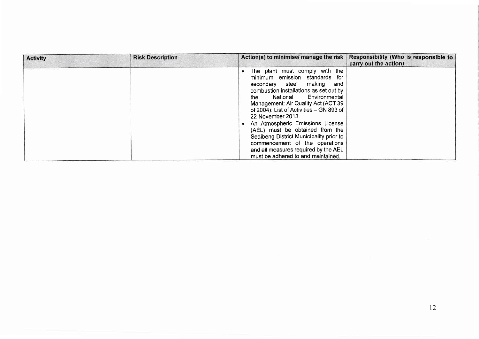| <b>Activity</b> | <b>Risk Description</b> | Action(s) to minimise/ manage the risk                                                                                                                                                                                                                                                                                                                                                                                                                                                                                    | Responsibility (Who is responsible to<br>carry out the action) |
|-----------------|-------------------------|---------------------------------------------------------------------------------------------------------------------------------------------------------------------------------------------------------------------------------------------------------------------------------------------------------------------------------------------------------------------------------------------------------------------------------------------------------------------------------------------------------------------------|----------------------------------------------------------------|
|                 |                         | The plant must comply with the<br>minimum emission standards for<br>secondary steel making<br>and<br>combustion installations as set out by<br>Environmental<br>National<br>the<br>Management: Air Quality Act (ACT 39<br>of 2004): List of Activities - GN 893 of<br>22 November 2013.<br>An Atmospheric Emissions License<br>(AEL) must be obtained from the<br>Sedibeng District Municipality prior to<br>commencement of the operations<br>and all measures required by the AEL<br>must be adhered to and maintained. |                                                                |